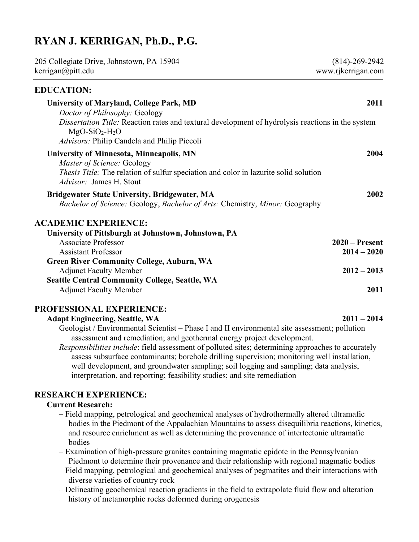# RYAN J. KERRIGAN, Ph.D., P.G.

| 205 Collegiate Drive, Johnstown, PA 15904<br>kerrigan@pitt.edu                                                                                                                                                 | $(814) - 269 - 2942$<br>www.rjkerrigan.com |  |
|----------------------------------------------------------------------------------------------------------------------------------------------------------------------------------------------------------------|--------------------------------------------|--|
| <b>EDUCATION:</b>                                                                                                                                                                                              |                                            |  |
| <b>University of Maryland, College Park, MD</b><br>Doctor of Philosophy: Geology<br>Dissertation Title: Reaction rates and textural development of hydrolysis reactions in the system                          | 2011                                       |  |
| $MgO-SiO2-H2O$<br>Advisors: Philip Candela and Philip Piccoli                                                                                                                                                  |                                            |  |
| <b>University of Minnesota, Minneapolis, MN</b><br>Master of Science: Geology<br><i>Thesis Title:</i> The relation of sulfur speciation and color in lazurite solid solution<br><i>Advisor:</i> James H. Stout | 2004                                       |  |
| <b>Bridgewater State University, Bridgewater, MA</b><br>Bachelor of Science: Geology, Bachelor of Arts: Chemistry, Minor: Geography                                                                            | 2002                                       |  |
| <b>ACADEMIC EXPERIENCE:</b>                                                                                                                                                                                    |                                            |  |
| University of Pittsburgh at Johnstown, Johnstown, PA                                                                                                                                                           |                                            |  |
| <b>Associate Professor</b>                                                                                                                                                                                     | $2020$ – Present                           |  |
| <b>Assistant Professor</b>                                                                                                                                                                                     | $2014 - 2020$                              |  |
| <b>Green River Community College, Auburn, WA</b><br><b>Adjunct Faculty Member</b>                                                                                                                              | $2012 - 2013$                              |  |
| <b>Seattle Central Community College, Seattle, WA</b>                                                                                                                                                          |                                            |  |
| <b>Adjunct Faculty Member</b>                                                                                                                                                                                  | 2011                                       |  |

# PROFESSIONAL EXPERIENCE:

#### Adapt Engineering, Seattle, WA 2011 – 2014

Geologist / Environmental Scientist – Phase I and II environmental site assessment; pollution assessment and remediation; and geothermal energy project development.

Responsibilities include: field assessment of polluted sites; determining approaches to accurately assess subsurface contaminants; borehole drilling supervision; monitoring well installation, well development, and groundwater sampling; soil logging and sampling; data analysis, interpretation, and reporting; feasibility studies; and site remediation

# RESEARCH EXPERIENCE:

# Current Research:

- Field mapping, petrological and geochemical analyses of hydrothermally altered ultramafic bodies in the Piedmont of the Appalachian Mountains to assess disequilibria reactions, kinetics, and resource enrichment as well as determining the provenance of intertectonic ultramafic bodies
- Examination of high-pressure granites containing magmatic epidote in the Pennsylvanian Piedmont to determine their provenance and their relationship with regional magmatic bodies
- Field mapping, petrological and geochemical analyses of pegmatites and their interactions with diverse varieties of country rock
- Delineating geochemical reaction gradients in the field to extrapolate fluid flow and alteration history of metamorphic rocks deformed during orogenesis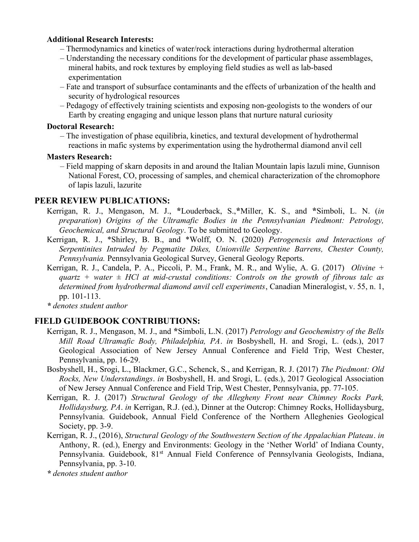# Additional Research Interests:

- Thermodynamics and kinetics of water/rock interactions during hydrothermal alteration
- Understanding the necessary conditions for the development of particular phase assemblages, mineral habits, and rock textures by employing field studies as well as lab-based experimentation
- Fate and transport of subsurface contaminants and the effects of urbanization of the health and security of hydrological resources
- Pedagogy of effectively training scientists and exposing non-geologists to the wonders of our Earth by creating engaging and unique lesson plans that nurture natural curiosity

### Doctoral Research:

– The investigation of phase equilibria, kinetics, and textural development of hydrothermal reactions in mafic systems by experimentation using the hydrothermal diamond anvil cell

# Masters Research:

– Field mapping of skarn deposits in and around the Italian Mountain lapis lazuli mine, Gunnison National Forest, CO, processing of samples, and chemical characterization of the chromophore of lapis lazuli, lazurite

# PEER REVIEW PUBLICATIONS:

- Kerrigan, R. J., Mengason, M. J., \*Louderback, S.,\*Miller, K. S., and \*Simboli, L. N. (in preparation) Origins of the Ultramafic Bodies in the Pennsylvanian Piedmont: Petrology, Geochemical, and Structural Geology. To be submitted to Geology.
- Kerrigan, R. J., \*Shirley, B. B., and \*Wolff, O. N. (2020) Petrogenesis and Interactions of Serpentinites Intruded by Pegmatite Dikes, Unionville Serpentine Barrens, Chester County, Pennsylvania. Pennsylvania Geological Survey, General Geology Reports.
- Kerrigan, R. J., Candela, P. A., Piccoli, P. M., Frank, M. R., and Wylie, A. G. (2017) Olivine + quartz + water  $\pm$  HCl at mid-crustal conditions: Controls on the growth of fibrous talc as determined from hydrothermal diamond anvil cell experiments, Canadian Mineralogist, v. 55, n. 1, pp. 101-113.

\* denotes student author

# FIELD GUIDEBOOK CONTRIBUTIONS:

- Kerrigan, R. J., Mengason, M. J., and \*Simboli, L.N. (2017) Petrology and Geochemistry of the Bells Mill Road Ultramafic Body, Philadelphia, PA. in Bosbyshell, H. and Srogi, L. (eds.), 2017 Geological Association of New Jersey Annual Conference and Field Trip, West Chester, Pennsylvania, pp. 16-29.
- Bosbyshell, H., Srogi, L., Blackmer, G.C., Schenck, S., and Kerrigan, R. J. (2017) The Piedmont: Old Rocks, New Understandings. in Bosbyshell, H. and Srogi, L. (eds.), 2017 Geological Association of New Jersey Annual Conference and Field Trip, West Chester, Pennsylvania, pp. 77-105.
- Kerrigan, R. J. (2017) Structural Geology of the Allegheny Front near Chimney Rocks Park, Hollidaysburg, PA. in Kerrigan, R.J. (ed.), Dinner at the Outcrop: Chimney Rocks, Hollidaysburg, Pennsylvania. Guidebook, Annual Field Conference of the Northern Alleghenies Geological Society, pp. 3-9.
- Kerrigan, R. J., (2016), Structural Geology of the Southwestern Section of the Appalachian Plateau. in Anthony, R. (ed.), Energy and Environments: Geology in the 'Nether World' of Indiana County, Pennsylvania. Guidebook, 81<sup>st</sup> Annual Field Conference of Pennsylvania Geologists, Indiana, Pennsylvania, pp. 3-10.

\* denotes student author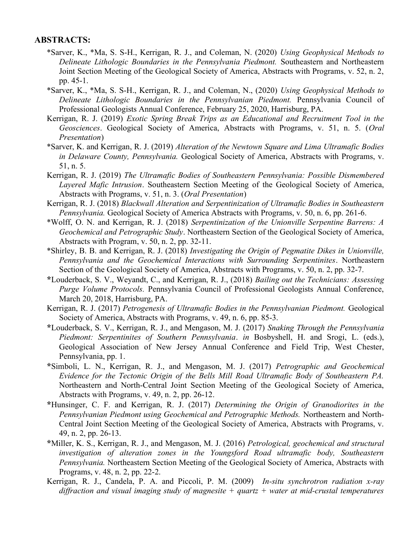### ABSTRACTS:

- \*Sarver, K., \*Ma, S. S-H., Kerrigan, R. J., and Coleman, N. (2020) Using Geophysical Methods to Delineate Lithologic Boundaries in the Pennsylvania Piedmont. Southeastern and Northeastern Joint Section Meeting of the Geological Society of America, Abstracts with Programs, v. 52, n. 2, pp. 45-1.
- \*Sarver, K., \*Ma, S. S-H., Kerrigan, R. J., and Coleman, N., (2020) Using Geophysical Methods to Delineate Lithologic Boundaries in the Pennsylvanian Piedmont. Pennsylvania Council of Professional Geologists Annual Conference, February 25, 2020, Harrisburg, PA.
- Kerrigan, R. J. (2019) Exotic Spring Break Trips as an Educational and Recruitment Tool in the Geosciences. Geological Society of America, Abstracts with Programs, v. 51, n. 5. (Oral Presentation)
- \*Sarver, K. and Kerrigan, R. J. (2019) Alteration of the Newtown Square and Lima Ultramafic Bodies in Delaware County, Pennsylvania. Geological Society of America, Abstracts with Programs, v. 51, n. 5.
- Kerrigan, R. J. (2019) The Ultramafic Bodies of Southeastern Pennsylvania: Possible Dismembered Layered Mafic Intrusion. Southeastern Section Meeting of the Geological Society of America, Abstracts with Programs, v. 51, n. 3. (Oral Presentation)
- Kerrigan, R. J. (2018) Blackwall Alteration and Serpentinization of Ultramafic Bodies in Southeastern Pennsylvania. Geological Society of America Abstracts with Programs, v. 50, n. 6, pp. 261-6.
- \*Wolff, O. N. and Kerrigan, R. J. (2018) Serpentinization of the Unionville Serpentine Barrens: A Geochemical and Petrographic Study. Northeastern Section of the Geological Society of America, Abstracts with Program, v. 50, n. 2, pp. 32-11.
- \*Shirley, B. B. and Kerrigan, R. J. (2018) Investigating the Origin of Pegmatite Dikes in Unionville, Pennsylvania and the Geochemical Interactions with Surrounding Serpentinites. Northeastern Section of the Geological Society of America, Abstracts with Programs, v. 50, n. 2, pp. 32-7.
- \*Louderback, S. V., Weyandt, C., and Kerrigan, R. J., (2018) Bailing out the Technicians: Assessing Purge Volume Protocols. Pennsylvania Council of Professional Geologists Annual Conference, March 20, 2018, Harrisburg, PA.
- Kerrigan, R. J. (2017) Petrogenesis of Ultramafic Bodies in the Pennsylvanian Piedmont. Geological Society of America, Abstracts with Programs, v. 49, n. 6, pp. 85-3.
- \*Louderback, S. V., Kerrigan, R. J., and Mengason, M. J. (2017) Snaking Through the Pennsylvania Piedmont: Serpentinites of Southern Pennsylvania. in Bosbyshell, H. and Srogi, L. (eds.), Geological Association of New Jersey Annual Conference and Field Trip, West Chester, Pennsylvania, pp. 1.
- \*Simboli, L. N., Kerrigan, R. J., and Mengason, M. J. (2017) Petrographic and Geochemical Evidence for the Tectonic Origin of the Bells Mill Road Ultramafic Body of Southeastern PA. Northeastern and North-Central Joint Section Meeting of the Geological Society of America, Abstracts with Programs, v. 49, n. 2, pp. 26-12.
- \*Hunsinger, C. F. and Kerrigan, R. J. (2017) Determining the Origin of Granodiorites in the Pennsylvanian Piedmont using Geochemical and Petrographic Methods. Northeastern and North-Central Joint Section Meeting of the Geological Society of America, Abstracts with Programs, v. 49, n. 2, pp. 26-13.
- \*Miller, K. S., Kerrigan, R. J., and Mengason, M. J. (2016) Petrological, geochemical and structural investigation of alteration zones in the Youngsford Road ultramafic body, Southeastern Pennsylvania. Northeastern Section Meeting of the Geological Society of America, Abstracts with Programs, v. 48, n. 2, pp. 22-2.
- Kerrigan, R. J., Candela, P. A. and Piccoli, P. M. (2009) In-situ synchrotron radiation x-ray diffraction and visual imaging study of magnesite  $+$  quartz  $+$  water at mid-crustal temperatures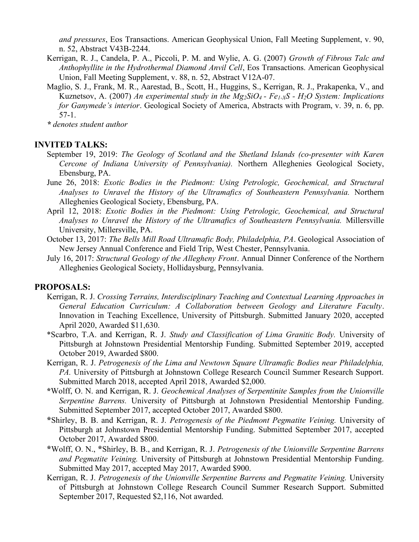and pressures, Eos Transactions. American Geophysical Union, Fall Meeting Supplement, v. 90, n. 52, Abstract V43B-2244.

- Kerrigan, R. J., Candela, P. A., Piccoli, P. M. and Wylie, A. G. (2007) Growth of Fibrous Talc and Anthophyllite in the Hydrothermal Diamond Anvil Cell, Eos Transactions. American Geophysical Union, Fall Meeting Supplement, v. 88, n. 52, Abstract V12A-07.
- Maglio, S. J., Frank, M. R., Aarestad, B., Scott, H., Huggins, S., Kerrigan, R. J., Prakapenka, V., and Kuznetsov, A. (2007) An experimental study in the  $Mg_2SiO_4$  -  $Fe<sub>1-X</sub>S$  -  $H_2O$  System: Implications for Ganymede's interior. Geological Society of America, Abstracts with Program, v. 39, n. 6, pp. 57-1.

\* denotes student author

### INVITED TALKS:

- September 19, 2019: The Geology of Scotland and the Shetland Islands (co-presenter with Karen Cercone of Indiana University of Pennsylvania). Northern Alleghenies Geological Society, Ebensburg, PA.
- June 26, 2018: Exotic Bodies in the Piedmont: Using Petrologic, Geochemical, and Structural Analyses to Unravel the History of the Ultramafics of Southeastern Pennsylvania. Northern Alleghenies Geological Society, Ebensburg, PA.
- April 12, 2018: Exotic Bodies in the Piedmont: Using Petrologic, Geochemical, and Structural Analyses to Unravel the History of the Ultramafics of Southeastern Pennsylvania. Millersville University, Millersville, PA.
- October 13, 2017: The Bells Mill Road Ultramafic Body, Philadelphia, PA. Geological Association of New Jersey Annual Conference and Field Trip, West Chester, Pennsylvania.
- July 16, 2017: Structural Geology of the Allegheny Front. Annual Dinner Conference of the Northern Alleghenies Geological Society, Hollidaysburg, Pennsylvania.

# PROPOSALS:

- Kerrigan, R. J. Crossing Terrains, Interdisciplinary Teaching and Contextual Learning Approaches in General Education Curriculum: A Collaboration between Geology and Literature Faculty. Innovation in Teaching Excellence, University of Pittsburgh. Submitted January 2020, accepted April 2020, Awarded \$11,630.
- \*Scarbro, T.A. and Kerrigan, R. J. Study and Classification of Lima Granitic Body. University of Pittsburgh at Johnstown Presidential Mentorship Funding. Submitted September 2019, accepted October 2019, Awarded \$800.
- Kerrigan, R. J. Petrogenesis of the Lima and Newtown Square Ultramafic Bodies near Philadelphia, PA. University of Pittsburgh at Johnstown College Research Council Summer Research Support. Submitted March 2018, accepted April 2018, Awarded \$2,000.
- \*Wolff, O. N. and Kerrigan, R. J. Geochemical Analyses of Serpentinite Samples from the Unionville Serpentine Barrens. University of Pittsburgh at Johnstown Presidential Mentorship Funding. Submitted September 2017, accepted October 2017, Awarded \$800.
- \*Shirley, B. B. and Kerrigan, R. J. Petrogenesis of the Piedmont Pegmatite Veining. University of Pittsburgh at Johnstown Presidential Mentorship Funding. Submitted September 2017, accepted October 2017, Awarded \$800.
- \*Wolff, O. N., \*Shirley, B. B., and Kerrigan, R. J. Petrogenesis of the Unionville Serpentine Barrens and Pegmatite Veining. University of Pittsburgh at Johnstown Presidential Mentorship Funding. Submitted May 2017, accepted May 2017, Awarded \$900.
- Kerrigan, R. J. Petrogenesis of the Unionville Serpentine Barrens and Pegmatite Veining. University of Pittsburgh at Johnstown College Research Council Summer Research Support. Submitted September 2017, Requested \$2,116, Not awarded.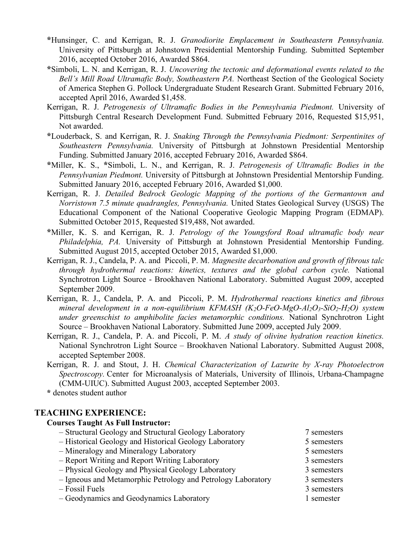- \*Hunsinger, C. and Kerrigan, R. J. Granodiorite Emplacement in Southeastern Pennsylvania. University of Pittsburgh at Johnstown Presidential Mentorship Funding. Submitted September 2016, accepted October 2016, Awarded \$864.
- \*Simboli, L. N. and Kerrigan, R. J. Uncovering the tectonic and deformational events related to the Bell's Mill Road Ultramafic Body, Southeastern PA. Northeast Section of the Geological Society of America Stephen G. Pollock Undergraduate Student Research Grant. Submitted February 2016, accepted April 2016, Awarded \$1,458.
- Kerrigan, R. J. Petrogenesis of Ultramafic Bodies in the Pennsylvania Piedmont. University of Pittsburgh Central Research Development Fund. Submitted February 2016, Requested \$15,951, Not awarded.
- \*Louderback, S. and Kerrigan, R. J. Snaking Through the Pennsylvania Piedmont: Serpentinites of Southeastern Pennsylvania. University of Pittsburgh at Johnstown Presidential Mentorship Funding. Submitted January 2016, accepted February 2016, Awarded \$864.
- \*Miller, K. S., \*Simboli, L. N., and Kerrigan, R. J. Petrogenesis of Ultramafic Bodies in the Pennsylvanian Piedmont. University of Pittsburgh at Johnstown Presidential Mentorship Funding. Submitted January 2016, accepted February 2016, Awarded \$1,000.
- Kerrigan, R. J. Detailed Bedrock Geologic Mapping of the portions of the Germantown and Norristown 7.5 minute quadrangles, Pennsylvania. United States Geological Survey (USGS) The Educational Component of the National Cooperative Geologic Mapping Program (EDMAP). Submitted October 2015, Requested \$19,488, Not awarded.
- \*Miller, K. S. and Kerrigan, R. J. Petrology of the Youngsford Road ultramafic body near Philadelphia, PA. University of Pittsburgh at Johnstown Presidential Mentorship Funding. Submitted August 2015, accepted October 2015, Awarded \$1,000.
- Kerrigan, R. J., Candela, P. A. and Piccoli, P. M. Magnesite decarbonation and growth of fibrous talc through hydrothermal reactions: kinetics, textures and the global carbon cycle. National Synchrotron Light Source - Brookhaven National Laboratory. Submitted August 2009, accepted September 2009.
- Kerrigan, R. J., Candela, P. A. and Piccoli, P. M. Hydrothermal reactions kinetics and fibrous mineral development in a non-equilibrium KFMASH  $(K_2O$ -FeO-MgO-Al<sub>2</sub>O<sub>3</sub>-SiO<sub>2</sub>-H<sub>2</sub>O) system under greenschist to amphibolite facies metamorphic conditions. National Synchrotron Light Source – Brookhaven National Laboratory. Submitted June 2009, accepted July 2009.
- Kerrigan, R. J., Candela, P. A. and Piccoli, P. M. A study of olivine hydration reaction kinetics. National Synchrotron Light Source – Brookhaven National Laboratory. Submitted August 2008, accepted September 2008.
- Kerrigan, R. J. and Stout, J. H. Chemical Characterization of Lazurite by X-ray Photoelectron Spectroscopy. Center for Microanalysis of Materials, University of Illinois, Urbana-Champagne (CMM-UIUC). Submitted August 2003, accepted September 2003.

\* denotes student author

# TEACHING EXPERIENCE:

#### Courses Taught As Full Instructor:

- Structural Geology and Structural Geology Laboratory 7 semesters – Historical Geology and Historical Geology Laboratory 5 semesters
- Mineralogy and Mineralogy Laboratory 5 semesters
- Report Writing and Report Writing Laboratory 3 semesters
- Physical Geology and Physical Geology Laboratory 3 semesters
- Igneous and Metamorphic Petrology and Petrology Laboratory 3 semesters
- Fossil Fuels 3 semesters
- Geodynamics and Geodynamics Laboratory 1 semester
- 
- 
- 
- 
- 
- -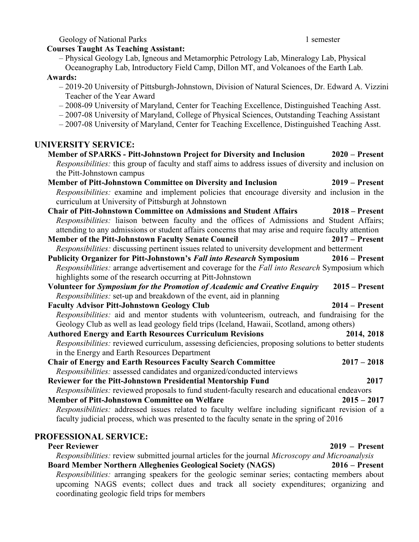Geology of National Parks 1 semester 1 semester

#### Courses Taught As Teaching Assistant:

- Physical Geology Lab, Igneous and Metamorphic Petrology Lab, Mineralogy Lab, Physical
- Oceanography Lab, Introductory Field Camp, Dillon MT, and Volcanoes of the Earth Lab.

# Awards:

- 2019-20 University of Pittsburgh-Johnstown, Division of Natural Sciences, Dr. Edward A. Vizzini Teacher of the Year Award
- 2008-09 University of Maryland, Center for Teaching Excellence, Distinguished Teaching Asst.
- 2007-08 University of Maryland, College of Physical Sciences, Outstanding Teaching Assistant
- 2007-08 University of Maryland, Center for Teaching Excellence, Distinguished Teaching Asst.

# UNIVERSITY SERVICE:

|                                                                                                        | $2020$ – Present |
|--------------------------------------------------------------------------------------------------------|------------------|
| Responsibilities: this group of faculty and staff aims to address issues of diversity and inclusion on |                  |
| the Pitt-Johnstown campus                                                                              |                  |
| Member of Pitt-Johnstown Committee on Diversity and Inclusion                                          | $2019$ – Present |
| Responsibilities: examine and implement policies that encourage diversity and inclusion in the         |                  |
| curriculum at University of Pittsburgh at Johnstown                                                    |                  |
| <b>Chair of Pitt-Johnstown Committee on Admissions and Student Affairs</b>                             | $2018 -$ Present |
| Responsibilities: liaison between faculty and the offices of Admissions and Student Affairs;           |                  |
| attending to any admissions or student affairs concerns that may arise and require faculty attention   |                  |
| <b>Member of the Pitt-Johnstown Faculty Senate Council</b>                                             | $2017 -$ Present |
| Responsibilities: discussing pertinent issues related to university development and betterment         |                  |
| <b>Publicity Organizer for Pitt-Johnstown's Fall into Research Symposium</b>                           | $2016$ – Present |
| Responsibilities: arrange advertisement and coverage for the Fall into Research Symposium which        |                  |
| highlights some of the research occurring at Pitt-Johnstown                                            |                  |
| Volunteer for Symposium for the Promotion of Academic and Creative Enquiry                             | $2015 -$ Present |
| Responsibilities: set-up and breakdown of the event, aid in planning                                   |                  |
| <b>Faculty Advisor Pitt-Johnstown Geology Club</b>                                                     | $2014 - Present$ |
| Responsibilities: aid and mentor students with volunteerism, outreach, and fundraising for the         |                  |
| Geology Club as well as lead geology field trips (Iceland, Hawaii, Scotland, among others)             |                  |
|                                                                                                        |                  |
| <b>Authored Energy and Earth Resources Curriculum Revisions</b>                                        | 2014, 2018       |
| Responsibilities: reviewed curriculum, assessing deficiencies, proposing solutions to better students  |                  |
| in the Energy and Earth Resources Department                                                           |                  |
| <b>Chair of Energy and Earth Resources Faculty Search Committee</b>                                    | $2017 - 2018$    |
| <i>Responsibilities:</i> assessed candidates and organized/conducted interviews                        |                  |
| Reviewer for the Pitt-Johnstown Presidential Mentorship Fund                                           | 2017             |
| Responsibilities: reviewed proposals to fund student-faculty research and educational endeavors        |                  |
| Member of Pitt-Johnstown Committee on Welfare                                                          | $2015 - 2017$    |
| Responsibilities: addressed issues related to faculty welfare including significant revision of a      |                  |
| faculty judicial process, which was presented to the faculty senate in the spring of 2016              |                  |

# Peer Reviewer 2019 – Present Responsibilities: review submitted journal articles for the journal Microscopy and Microanalysis Board Member Northern Alleghenies Geological Society (NAGS) 2016 – Present Responsibilities: arranging speakers for the geologic seminar series; contacting members about upcoming NAGS events; collect dues and track all society expenditures; organizing and coordinating geologic field trips for members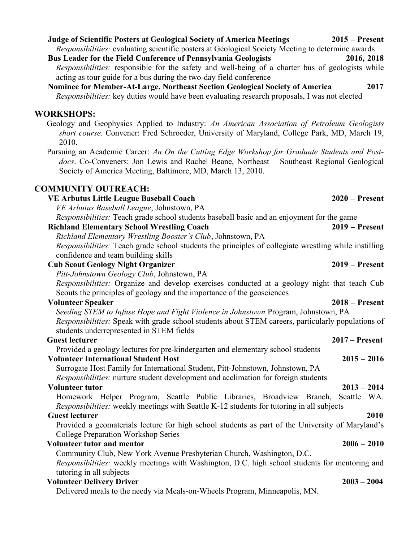# Judge of Scientific Posters at Geological Society of America Meetings 2015 – Present

Responsibilities: evaluating scientific posters at Geological Society Meeting to determine awards Bus Leader for the Field Conference of Pennsylvania Geologists 2016, 2018

Responsibilities: responsible for the safety and well-being of a charter bus of geologists while acting as tour guide for a bus during the two-day field conference

Nominee for Member-At-Large, Northeast Section Geological Society of America 2017 Responsibilities: key duties would have been evaluating research proposals, I was not elected

# WORKSHOPS:

Geology and Geophysics Applied to Industry: An American Association of Petroleum Geologists short course. Convener: Fred Schroeder, University of Maryland, College Park, MD, March 19, 2010.

Pursuing an Academic Career: An On the Cutting Edge Workshop for Graduate Students and Postdocs. Co-Conveners: Jon Lewis and Rachel Beane, Northeast – Southeast Regional Geological Society of America Meeting, Baltimore, MD, March 13, 2010.

# COMMUNITY OUTREACH:

| <b>VE Arbutus Little League Baseball Coach</b>                                                        | $2020$ – Present |
|-------------------------------------------------------------------------------------------------------|------------------|
| VE Arbutus Baseball League, Johnstown, PA                                                             |                  |
| Responsibilities: Teach grade school students baseball basic and an enjoyment for the game            |                  |
| <b>Richland Elementary School Wrestling Coach</b>                                                     | $2019$ – Present |
| Richland Elementary Wrestling Booster's Club, Johnstown, PA                                           |                  |
| Responsibilities: Teach grade school students the principles of collegiate wrestling while instilling |                  |
| confidence and team building skills                                                                   |                  |
| <b>Cub Scout Geology Night Organizer</b>                                                              | $2019 -$ Present |
| Pitt-Johnstown Geology Club, Johnstown, PA                                                            |                  |
| Responsibilities: Organize and develop exercises conducted at a geology night that teach Cub          |                  |
| Scouts the principles of geology and the importance of the geosciences                                |                  |
| <b>Volunteer Speaker</b>                                                                              | $2018 -$ Present |
| Seeding STEM to Infuse Hope and Fight Violence in Johnstown Program, Johnstown, PA                    |                  |
| Responsibilities: Speak with grade school students about STEM careers, particularly populations of    |                  |
| students underrepresented in STEM fields                                                              |                  |
| <b>Guest lecturer</b>                                                                                 | $2017 -$ Present |
| Provided a geology lectures for pre-kindergarten and elementary school students                       |                  |
| <b>Volunteer International Student Host</b>                                                           | $2015 - 2016$    |
| Surrogate Host Family for International Student, Pitt-Johnstown, Johnstown, PA                        |                  |
| Responsibilities: nurture student development and acclimation for foreign students                    |                  |
| <b>Volunteer tutor</b>                                                                                | $2013 - 2014$    |
| Homework Helper Program, Seattle Public Libraries, Broadview Branch,                                  | Seattle WA.      |
| Responsibilities: weekly meetings with Seattle K-12 students for tutoring in all subjects             |                  |
| <b>Guest lecturer</b>                                                                                 | 2010             |
| Provided a geomaterials lecture for high school students as part of the University of Maryland's      |                  |
| <b>College Preparation Workshop Series</b>                                                            |                  |
| <b>Volunteer tutor and mentor</b>                                                                     | $2006 - 2010$    |
| Community Club, New York Avenue Presbyterian Church, Washington, D.C.                                 |                  |
| Responsibilities: weekly meetings with Washington, D.C. high school students for mentoring and        |                  |
| tutoring in all subjects                                                                              |                  |
| <b>Volunteer Delivery Driver</b>                                                                      | $2003 - 2004$    |
| Delivered meals to the needy via Meals-on-Wheels Program, Minneapolis, MN.                            |                  |
|                                                                                                       |                  |
|                                                                                                       |                  |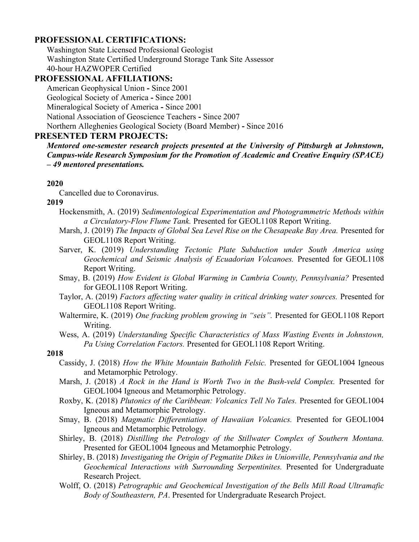# PROFESSIONAL CERTIFICATIONS:

Washington State Licensed Professional Geologist Washington State Certified Underground Storage Tank Site Assessor 40-hour HAZWOPER Certified

# PROFESSIONAL AFFILIATIONS:

American Geophysical Union - Since 2001 Geological Society of America - Since 2001 Mineralogical Society of America - Since 2001 National Association of Geoscience Teachers - Since 2007 Northern Alleghenies Geological Society (Board Member) - Since 2016

# PRESENTED TERM PROJECTS:

Mentored one-semester research projects presented at the University of Pittsburgh at Johnstown, Campus-wide Research Symposium for the Promotion of Academic and Creative Enquiry (SPACE) – 49 mentored presentations.

# 2020

Cancelled due to Coronavirus.

# 2019

- Hockensmith, A. (2019) Sedimentological Experimentation and Photogrammetric Methods within a Circulatory-Flow Flume Tank. Presented for GEOL1108 Report Writing.
- Marsh, J. (2019) The Impacts of Global Sea Level Rise on the Chesapeake Bay Area. Presented for GEOL1108 Report Writing.
- Sarver, K. (2019) Understanding Tectonic Plate Subduction under South America using Geochemical and Seismic Analysis of Ecuadorian Volcanoes. Presented for GEOL1108 Report Writing.
- Smay, B. (2019) How Evident is Global Warming in Cambria County, Pennsylvania? Presented for GEOL1108 Report Writing.
- Taylor, A. (2019) Factors affecting water quality in critical drinking water sources. Presented for GEOL1108 Report Writing.
- Waltermire, K. (2019) One fracking problem growing in "seis". Presented for GEOL1108 Report Writing.
- Wess, A. (2019) Understanding Specific Characteristics of Mass Wasting Events in Johnstown, Pa Using Correlation Factors. Presented for GEOL1108 Report Writing.

# 2018

- Cassidy, J. (2018) How the White Mountain Batholith Felsic. Presented for GEOL1004 Igneous and Metamorphic Petrology.
- Marsh, J. (2018) A Rock in the Hand is Worth Two in the Bush-veld Complex. Presented for GEOL1004 Igneous and Metamorphic Petrology.
- Roxby, K. (2018) Plutonics of the Caribbean: Volcanics Tell No Tales. Presented for GEOL1004 Igneous and Metamorphic Petrology.
- Smay, B. (2018) Magmatic Differentiation of Hawaiian Volcanics. Presented for GEOL1004 Igneous and Metamorphic Petrology.
- Shirley, B. (2018) Distilling the Petrology of the Stillwater Complex of Southern Montana. Presented for GEOL1004 Igneous and Metamorphic Petrology.
- Shirley, B. (2018) Investigating the Origin of Pegmatite Dikes in Unionville, Pennsylvania and the Geochemical Interactions with Surrounding Serpentinites. Presented for Undergraduate Research Project.
- Wolff, O. (2018) Petrographic and Geochemical Investigation of the Bells Mill Road Ultramafic Body of Southeastern, PA. Presented for Undergraduate Research Project.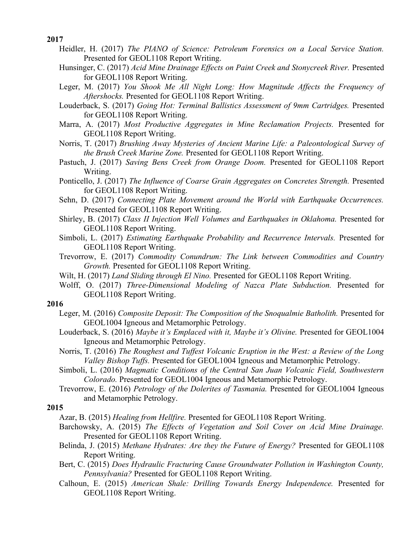#### 2017

- Heidler, H. (2017) The PIANO of Science: Petroleum Forensics on a Local Service Station. Presented for GEOL1108 Report Writing.
- Hunsinger, C. (2017) Acid Mine Drainage Effects on Paint Creek and Stonycreek River. Presented for GEOL1108 Report Writing.
- Leger, M. (2017) You Shook Me All Night Long: How Magnitude Affects the Frequency of Aftershocks. Presented for GEOL1108 Report Writing.
- Louderback, S. (2017) Going Hot: Terminal Ballistics Assessment of 9mm Cartridges. Presented for GEOL1108 Report Writing.
- Marra, A. (2017) Most Productive Aggregates in Mine Reclamation Projects. Presented for GEOL1108 Report Writing.
- Norris, T. (2017) Brushing Away Mysteries of Ancient Marine Life: a Paleontological Survey of the Brush Creek Marine Zone. Presented for GEOL1108 Report Writing.
- Pastuch, J. (2017) Saving Bens Creek from Orange Doom. Presented for GEOL1108 Report Writing.
- Ponticello, J. (2017) The Influence of Coarse Grain Aggregates on Concretes Strength. Presented for GEOL1108 Report Writing.
- Sehn, D. (2017) Connecting Plate Movement around the World with Earthquake Occurrences. Presented for GEOL1108 Report Writing.
- Shirley, B. (2017) Class II Injection Well Volumes and Earthquakes in Oklahoma. Presented for GEOL1108 Report Writing.
- Simboli, L. (2017) Estimating Earthquake Probability and Recurrence Intervals. Presented for GEOL1108 Report Writing.
- Trevorrow, E. (2017) Commodity Conundrum: The Link between Commodities and Country Growth. Presented for GEOL1108 Report Writing.
- Wilt, H. (2017) Land Sliding through El Nino. Presented for GEOL1108 Report Writing.
- Wolff, O. (2017) Three-Dimensional Modeling of Nazca Plate Subduction. Presented for GEOL1108 Report Writing.

#### 2016

- Leger, M. (2016) Composite Deposit: The Composition of the Snoqualmie Batholith. Presented for GEOL1004 Igneous and Metamorphic Petrology.
- Louderback, S. (2016) Maybe it's Emplaced with it, Maybe it's Olivine. Presented for GEOL1004 Igneous and Metamorphic Petrology.
- Norris, T. (2016) The Roughest and Tuffest Volcanic Eruption in the West: a Review of the Long Valley Bishop Tuffs. Presented for GEOL1004 Igneous and Metamorphic Petrology.
- Simboli, L. (2016) Magmatic Conditions of the Central San Juan Volcanic Field, Southwestern Colorado. Presented for GEOL1004 Igneous and Metamorphic Petrology.
- Trevorrow, E. (2016) Petrology of the Dolerites of Tasmania. Presented for GEOL1004 Igneous and Metamorphic Petrology.

#### 2015

- Azar, B. (2015) Healing from Hellfire. Presented for GEOL1108 Report Writing.
- Barchowsky, A. (2015) The Effects of Vegetation and Soil Cover on Acid Mine Drainage. Presented for GEOL1108 Report Writing.
- Belinda, J. (2015) Methane Hydrates: Are they the Future of Energy? Presented for GEOL1108 Report Writing.
- Bert, C. (2015) Does Hydraulic Fracturing Cause Groundwater Pollution in Washington County, Pennsylvania? Presented for GEOL1108 Report Writing.
- Calhoun, E. (2015) American Shale: Drilling Towards Energy Independence. Presented for GEOL1108 Report Writing.